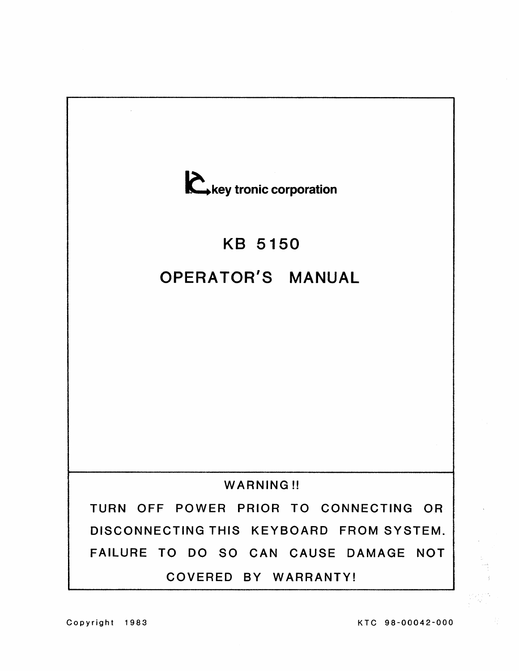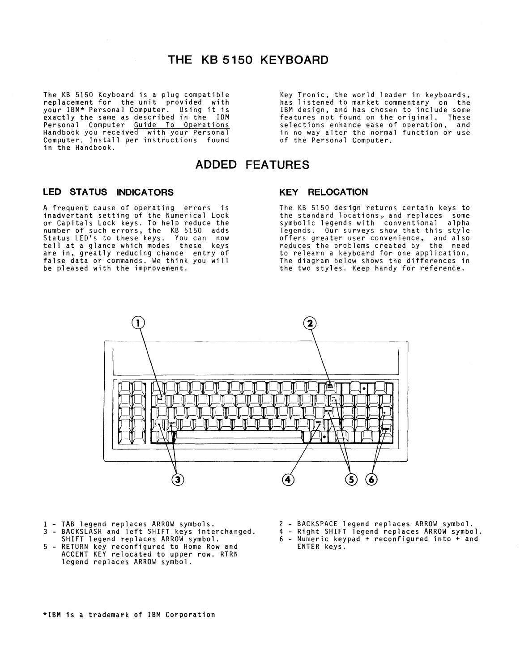### **THE KB 5150 KEYBOARD**

The KB 5150 Keyboard is a plug compatible replacement for the unit provided with your IBM\* Personal Computer. Using it is exactly the same as described in the IBM Personal Computer Guide To Operations Handbook you received with your Personal Computer. Install per instructions found in the Handbook.

Key Tronic, the world leader in keyboards, has listened to market commentary on the IBM design, and has chosen to include some features not found on the original. These selections enhance ease of operation, and in no way alter the normal function or use of the Personal Computer.

### **ADDED FEATURES**

#### **LED STATUS INDICATORS**

A frequent cause of operating errors is inadvertant setting of the Numerical Lock or Capitals Lock keys. To help reduce the number of such errors, the KB 5150 adds Status LED's to these keys. You can now<br>tell at a glance which modes these keys are in, greatly reducing chance entry of false data or commands. We think you will be pleased with the improvement.

#### **KEY RELOCATION**

The KB 5150 design returns certain keys to the standard locations, and replaces some symbolic legends with conventional alpha legends. Our surveys show that this style offers greater user convenience, and also reduces the problems created by the need to relearn a keyboard for one application. The diagram below shows the differences in the two styles. Keep handy for reference.



- 
- 1 TAB legend replaces ARROW symbols. 3 BACKSLASH and left SHIFT keys interchanged. 4 Right SHIFT legend replaces ARROW symbol.
- 5 RETURN key reconfigured to Home Rowand ACCENT KEY relocated to upper row. RTRN legend replaces ARROW symbol.
- 2 BACKSPACE legend replaces ARROW symbol.
- SHIFT legend replaces ARROW symbol. 6 Numeric keypad + reconfigured into + and ENTER keys.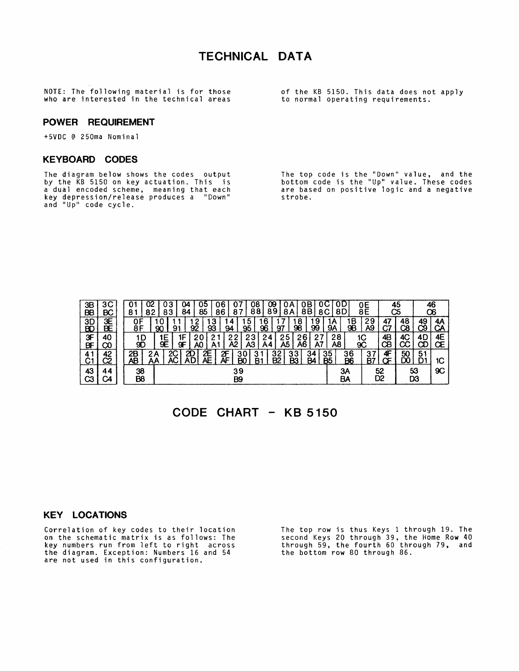### **TECHNICAL DATA**

NOTE: The following material is for those of the KB 5150. This data does not apply who are interested in the technical areas to normal operating requirements.

#### **POWER REQUIREMENT**

+5VDC @ 250ma Nominal

#### **KEYBOARD CODES**

The diagram below shows the codes output by the KB 5150 on key actuation. This is a dual encoded scheme, meaning that each key depression/release produces a "Down" and "Up" code cycle.

The top code is the "Down" value, and the bottom code is the "Up" value. These codes are based on positive logic and a negative strobe.

| 3B<br><b>BB</b>      | 3C<br>BC | 02<br>U<br>82<br>8   | oз<br>٩.<br>84<br>83  | ບວ<br>85<br>86                  | 08<br>88<br>87           | œ<br>0Β<br>89<br>8Β<br><b>8A</b> | 8D<br>8C               | oЕ<br>8Ε                         | 45<br>C5                   |          | 46<br>O6    |
|----------------------|----------|----------------------|-----------------------|---------------------------------|--------------------------|----------------------------------|------------------------|----------------------------------|----------------------------|----------|-------------|
| $\frac{3D}{BC}$      | 3E<br>BĒ | 0F<br>8F             | 90<br>91              | 3<br>93<br>92                   | 5<br>95<br>94            | 6،<br>8<br>98<br>99<br>96<br>97  | ، 9<br>lΑ<br><b>9A</b> | 29<br>٠B<br>9B<br>A <sub>9</sub> | 48<br>47<br>Ċ7<br>C8       | 49<br>ာ  | 4Α<br>CA    |
| 3F<br>BF             | 40<br>ထ  | 1D<br>90             | ١E<br>íF.<br>9E<br>9F | 2<br>A0<br>A'                   | 23<br>2<br>ິ<br>A2<br>A3 | 25<br>26<br>24<br>Ā5<br>A6<br>A4 | 28<br>27<br>Α8<br>A7   | 1C<br>90                         | 4B<br>4C<br>CВ<br>СĊ       | 4D<br>œ  | 4E<br>Œ     |
| 41<br>C <sub>1</sub> | 42<br>C2 | 2Β<br>ŋ<br>AΒ        | 2C<br>2Α              | 2E<br>AE<br>2D<br>Æ<br>ÀD<br>ĀF | 30<br>் З ⊹<br>B.<br>B0  | 32<br>B2<br>33<br>B3<br>34<br>B4 | $\frac{35}{B5}$        | 36<br>37<br><u>B6</u><br>B7      | 4F<br>$\frac{50}{D0}$<br>Œ | 51       | 1C          |
| 43<br>CЗ             | 44<br>C4 | 38<br>B <sub>8</sub> |                       |                                 | 39<br>B <sub>9</sub>     |                                  |                        | ЗΑ<br>BA                         | 52<br>D <sub>2</sub>       | 53<br>D3 | $_{\rm 9C}$ |

### **CODE CHART KB 5150**

#### **KEY LOCATIONS**

Correlation of key codes to their location on the schematic matrix is as follows: The key numbers run from left to right across the diagram. Exception: Numbers 16 and 54 are not used in this configuration.

The top row is thus Keys 1 through 19. The second Keys 20 through 39, the Home Row 40 through 59, the fourth 60 through 79, and the bottom row 80 through 86.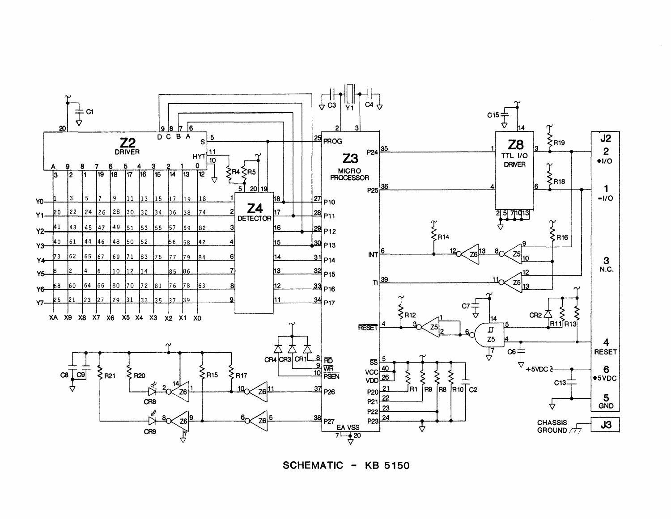

**SCHEMATIC - KB 5150**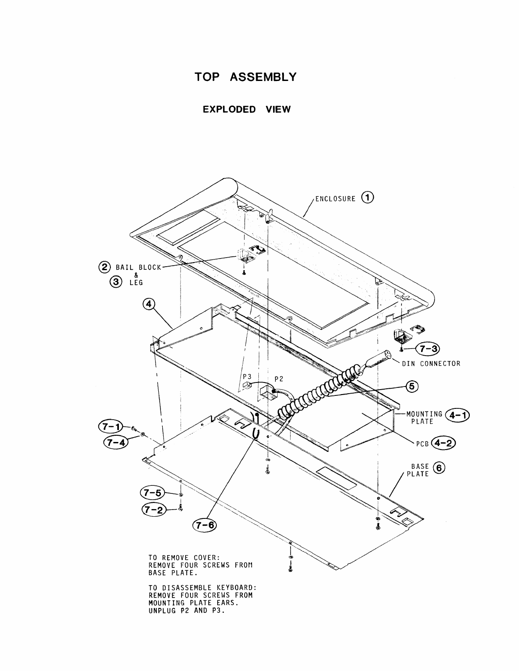

**EXPLODED VIEW** 

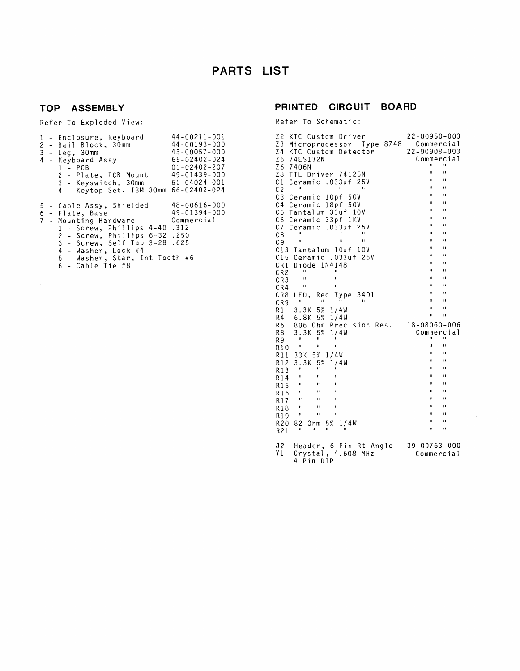# **PARTS LIST**

### **TOP ASSEMBLY**

 $\sim 10^{-1}$ 

Refer To Exploded View:

|    | 1 - Enclosure, Keyboard 44-00211-001<br>2 - Bail Block, 30mm<br>$45 - 00057 - 000$<br>$3 - Leg, 30mm$<br>4 - Keyboard Assy<br>1 - PCB<br>2 - Plate, PCB Mount 49-01439-000<br>3 - Keyswitch, 30mm 61-04024-001<br>4 - Keytop Set, IBM 30mm 66-02402-024                          | $44 - 00193 - 000$<br>$65 - 02402 - 024$<br>$01 - 02402 - 207$ |
|----|----------------------------------------------------------------------------------------------------------------------------------------------------------------------------------------------------------------------------------------------------------------------------------|----------------------------------------------------------------|
| 6. | 5 - Cable Assy, Shielded 48-00616-000<br>- Plate, Base<br>7 - Mounting Hardware Commercial<br>1 - Screw, Phillips 4–40 .312<br>2 - Screw, Phillips 6-32 .250<br>3 - Screw, Self Tap 3-28 .625<br>$4$ - Washer, Lock $#4$<br>5 - Washer, Star, Int Tooth #6<br>$6$ - Cable Tie #8 | $49 - 01394 - 000$                                             |

### **PRINTED CIRCUIT BOARD**

Refer To Schematic:

| Z <sub>2</sub><br>KTC Custom Driver                                                      | 22-00950-003                             |
|------------------------------------------------------------------------------------------|------------------------------------------|
| Z3<br>Microprocessor Type 8748                                                           | Commercial                               |
| Z4<br>KTC Custom Detector                                                                | 22-00908-003                             |
| Z <sub>5</sub><br>74LS132N                                                               | Commercial                               |
| Z6<br>7406N                                                                              | n<br>н                                   |
| Z8<br>TTL Driver 74125N                                                                  | Ĥ.<br>Ħ                                  |
| C <sub>1</sub><br>$.033$ uf<br>25 V<br>Ceramic                                           | $\mathbf{H}$<br>n<br>n<br>$\blacksquare$ |
| $\mathbf{u}$<br>$\mathbf{u}$<br>u<br>C <sub>2</sub>                                      | $\blacksquare$<br>u                      |
| C <sub>3</sub><br>10pf 50V<br>Ceramic                                                    | $\mathbf{u}$<br>п                        |
| C <sub>4</sub><br>18pf 50V<br>Ceramic                                                    | Ĥ<br>$\mathbf{u}$                        |
| C <sub>5</sub><br>Tantalum 33uf 10V                                                      | Ħ<br>n                                   |
| C6<br>Ceramic 33pf 1KV                                                                   | н<br>$\mathbf{u}$                        |
| C7<br>$.033$ uf<br>25 V<br>Ceramic<br>п                                                  | $\mathbf{H}$<br>Ħ                        |
| $\mathbf{u}$<br>п<br>C8<br>п<br>$\mathbf{u}$<br>П                                        | $\mathbf{u}$<br>$\mathbf{u}$             |
| C <sub>9</sub>                                                                           | $\mathbf{a}$<br>Ħ                        |
| C13 Tantalum 10uf<br>10 V                                                                | IJ,<br>Ħ                                 |
| Ceramic .033uf 25V<br>C15                                                                | n<br>$\mathbf{u}$                        |
| CR1<br>Diode 1N4148<br>п<br>Ħ                                                            | ū<br>$\blacksquare$                      |
| CR <sub>2</sub><br>$\blacksquare$<br>п                                                   | $\mathbf{u}$<br>П                        |
| CR <sub>3</sub><br>п<br>$\mathbf{H}$                                                     | $\blacksquare$<br>n                      |
| CR4                                                                                      | Ħ<br>П                                   |
| CR <sub>8</sub><br>LED,<br>Red<br>3401<br>Type<br>Ħ<br>$\mathbf{H}$<br>п<br>$\mathbf{H}$ | n<br>п                                   |
| CR <sub>9</sub><br>5%<br>R1                                                              | $\mathbf{u}$<br>п                        |
| 3.3K<br>1/4W<br>R4<br>5%<br>6.8K<br>1/4W                                                 | й<br>П                                   |
| R <sub>5</sub><br>Precision Res.<br>806 Ohm                                              | 18-08060-006                             |
| R8<br>3.3K<br>5%<br>1/4W                                                                 | Commercial                               |
| Ħ<br>$\mathbf{u}$<br>$\blacksquare$<br>R9                                                | H.<br>u                                  |
| $\mathbf{H}$<br>п<br>Ħ<br>R10                                                            | Ħ<br>Ħ                                   |
| 33K 5% 1/4W<br>R11                                                                       | $\mathbf{u}$<br>$\blacksquare$           |
| 3.3K<br>5%<br>R12<br>1/4W                                                                | n<br>п                                   |
| Ħ<br>Ħ<br>п<br>R13                                                                       | п<br>н                                   |
| $\mathbf{H}$<br>п<br>Ħ<br>R 14                                                           | ū<br>Ħ                                   |
| $\mathbf{H}$<br>п<br>п<br>R15                                                            | $\mathbf{u}$<br>Ħ                        |
| Ħ<br>и<br>п<br>R16                                                                       | IJ<br>Ĥ,                                 |
| $\mathbf{u}$<br>п<br>п<br>R17                                                            | $\mathbf{u}$<br>П                        |
| $\mathbf{H}$<br>ū<br>ū<br>R18                                                            | и<br>п                                   |
| $\mathbf{u}$<br>11<br>$\mathbf{u}$<br>R19                                                | n<br>н                                   |
| R20<br>82<br>5%<br>1/4W<br>Ohm                                                           | $\mathbf{u}$<br>u                        |
| $\blacksquare$<br>п<br>п<br>n<br>R21                                                     | н<br>Ħ                                   |
|                                                                                          |                                          |
| ა 2<br>Header, 6 Pin Rt Angle                                                            | $39 - 00763 - 000$                       |
| Y1<br>Crystal, 4.608 MHz                                                                 | Commercial                               |
| 4 Pin<br>DIP                                                                             |                                          |

 $\ddot{\phantom{a}}$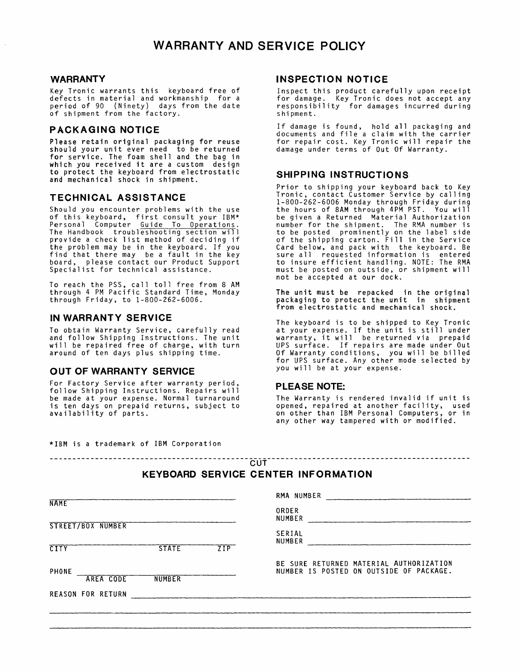#### **WARRANTY**

Key Tronic warrants this keyboard free of defects in material and workmanship for a period of 90 (Ninety) days from the date of shipment from the factory.

#### **PACKAGING NOTICE**

Please retain original packaging for reuse should your unit ever need to be returned for service. The foam shell and the bag in which you received it are a custom design to protect the keyboard from electrostatic and mechanical shock in shipment.

#### **TECHNICAL ASSISTANCE**

Should you encounter problems with the use of this keyboard, first consult your IBM\* Personal Computer Guide To Operations. The Handbook troubleshooting section will provide a check list method of deciding if the problem may be in the keyboard. If you find that there may be a fault in the key board, please contact our Product Support Specialist for technical assistance.

To reach the PSS, call toll free from 8 AM through 4 PM Pacific Standard Time, Monday through Friday, to 1-800-262-6006.

#### **IN WARRANTY SERVICE**

To obtain Warranty Service, carefully read and follow Shipping Instructions. The unit will be repaired free of charge, with turn around of ten days plus shipping time.

#### **OUT OF WARRANTY SERVICE**

For Factory Service after warranty period, follow Shipping Instructions. Repairs will be made at your expense. Normal turnaround is ten days on prepaid returns, subject to availability of parts.

#### **INSPECTION NOTICE**

Inspect this product carefully upon receipt for damage. Key Tronic does not accept any responsibility for damages incurred during shipment.

If damage is found, hold all packaging and documents and file a claim with the carrier for repair cost. Key Tronic will repair the damage under terms of Out Of Warranty.

#### **SHIPPING INSTRUCTIONS**

Prior to shipping your keyboard back to Key Tronic, contact Customer Service by calling 1-800-262-6006 Monday through Friday during the hours of 8AM through 4PM PST. You will be given a Returned Material Authorization number for the shipment. The RMA number is to be posted prominently on the label side of the shipping carton. Fill in the Service Card below, and pack with the keyboard. Be sure below, and pask with the keyboard: 50 to insure efficient handling. NOTE: The RMA must be posted on outside, or shipment will not be accepted at our dock.

The unit must be repacked in the original packaging to protect the unit in shipment from electrostatic and mechanical shock.

The keyboard is to be shipped to Key Tronic at your expense. If the unit is still under warranty, it will be returned via prepaid UPS surface. If repairs are made under Out Of Warranty conditions, you will be billed for UPS surface. Any other mode selected by you will be at your expense.

#### **PLEASE NOTE:**

The Warranty is rendered invalid if unit is opened, repaired at another facility, used on other than IBM Personal Computers, or in any other way tampered with or modified.

|  |  |  | *IBM is a trademark of IBM Corporation |
|--|--|--|----------------------------------------|
|  |  |  |                                        |

#### **KEYBOARD SERVICE CENTER INFORMATION**

| <b>NAME</b>              |               |            | RMA NUMBER                                                                         |
|--------------------------|---------------|------------|------------------------------------------------------------------------------------|
|                          |               |            | ORDER<br><b>NUMBER</b>                                                             |
| <b>STREET/BOX NUMBER</b> |               |            | <b>SERIAL</b><br>NUMBER                                                            |
| <b>CITY</b>              | <b>STATE</b>  | <b>ZIP</b> |                                                                                    |
| <b>PHONE</b>             |               |            | BE SURE RETURNED MATERIAL AUTHORIZATION<br>NUMBER IS POSTED ON OUTSIDE OF PACKAGE. |
| <b>AREA CODE</b>         | <b>NUMBER</b> |            |                                                                                    |
| <b>REASON FOR RETURN</b> |               |            |                                                                                    |